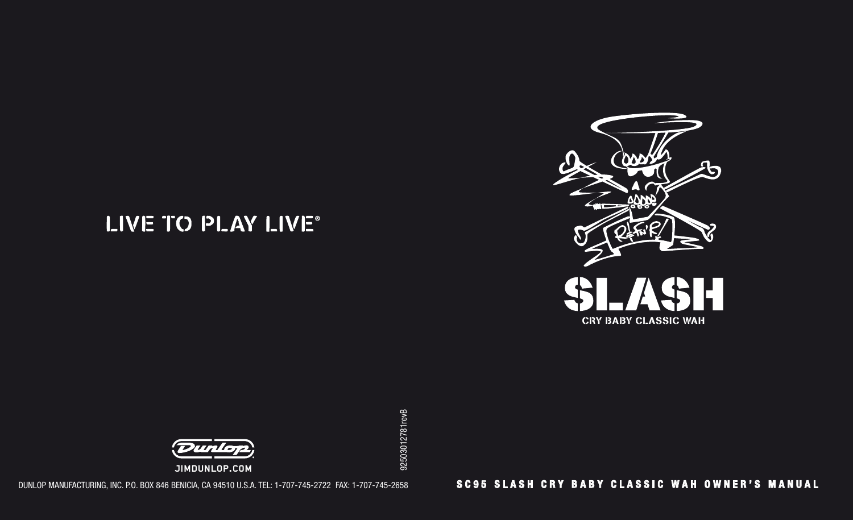# LIVE TO PLAY LIVE®





Jimdunlop.com

DUNLOP MANUFACTURING, INC. P.O. BOX 846 BENICIA, CA 94510 U.S.A. TEL: 1-707-745-2722 FAX: 1-707-745-2658

### **SC95 SLASH CRY BABY CLASSIC WAH OWNER'S MANUAL**

92503012781revB 92503012781revB